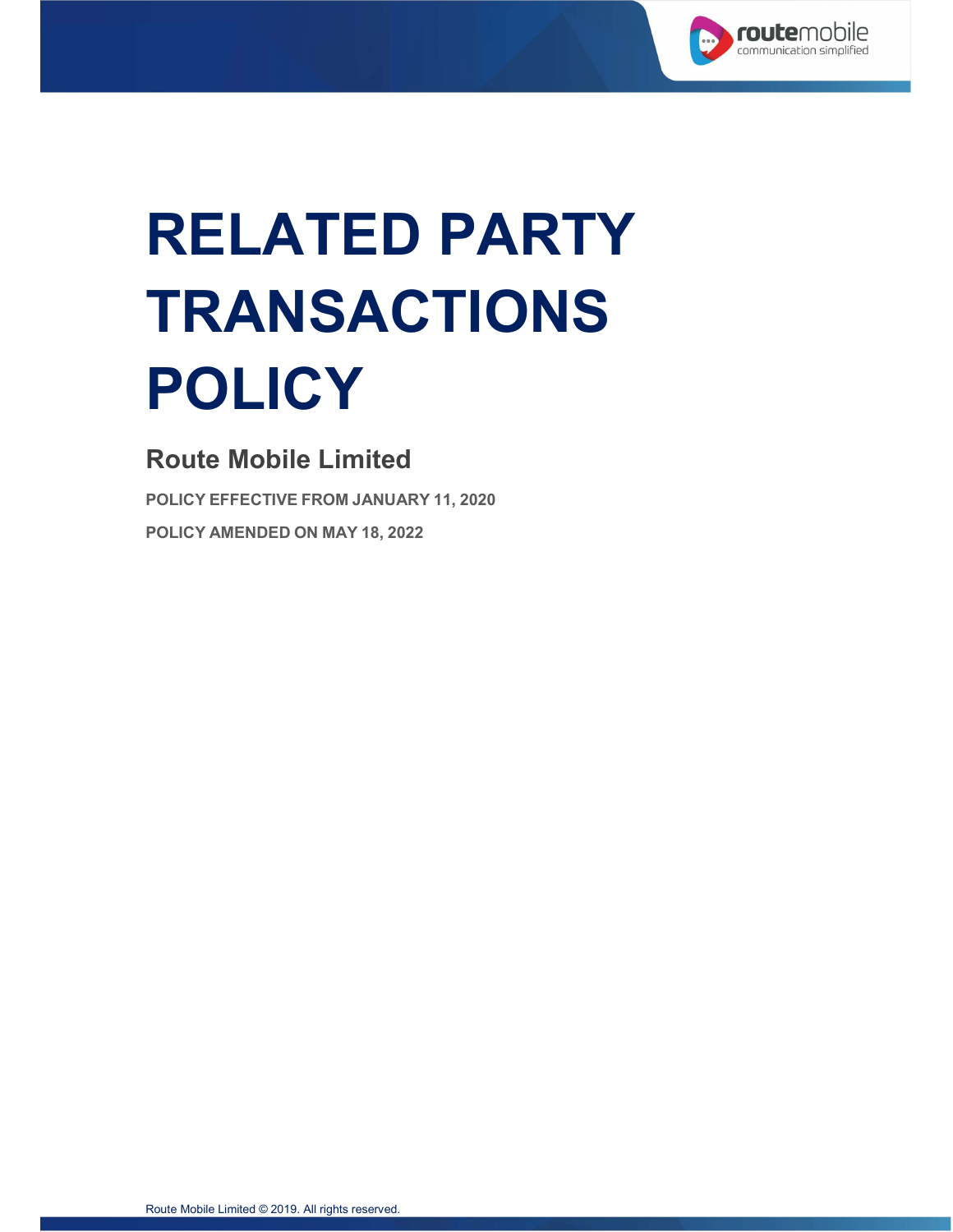

# RELATED PARTY TRANSACTIONS POLICY

# Route Mobile Limited

POLICY EFFECTIVE FROM JANUARY 11, 2020 POLICY AMENDED ON MAY 18, 2022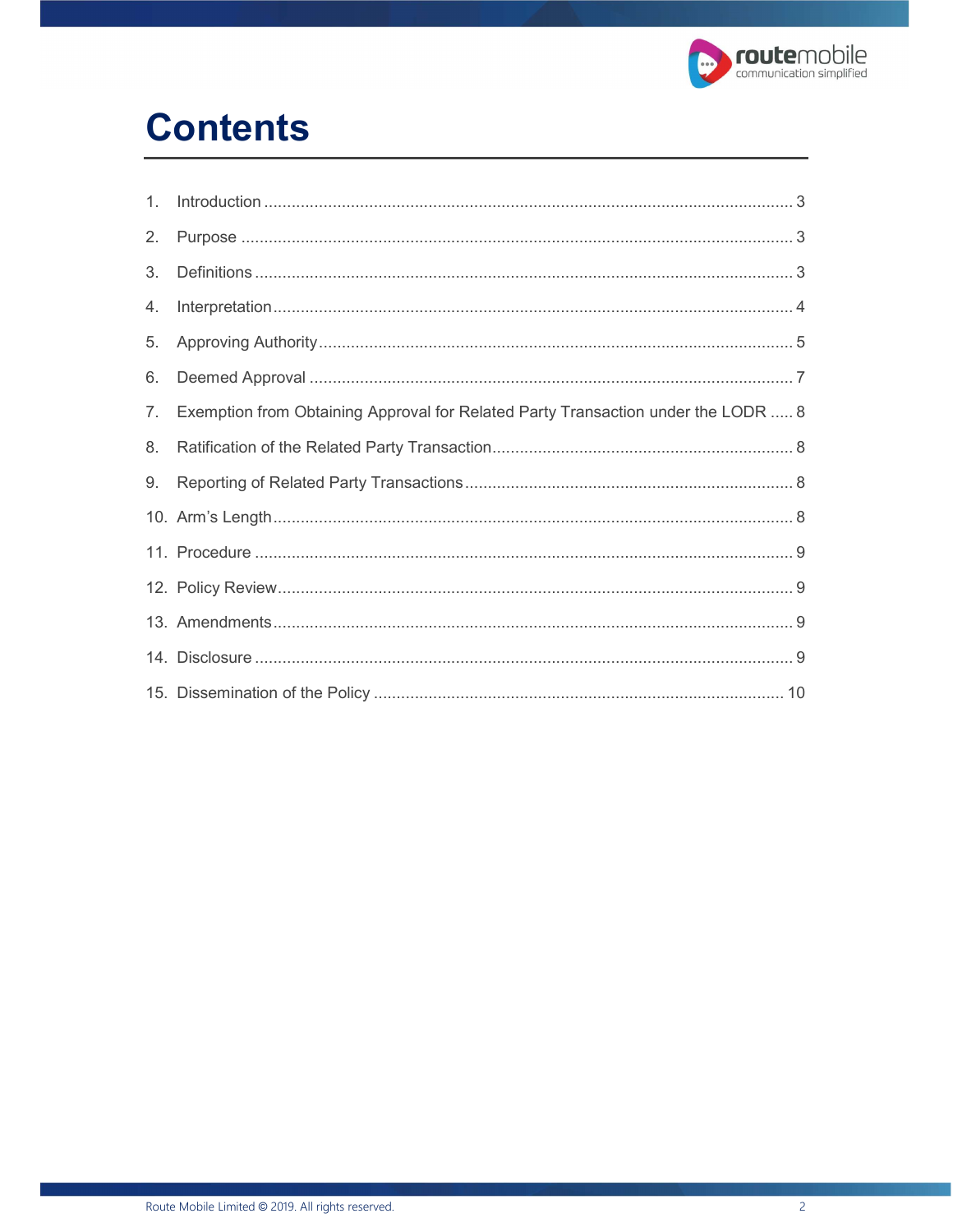

# **Contents**

| 2. |                                                                                   |  |
|----|-----------------------------------------------------------------------------------|--|
| 3. |                                                                                   |  |
| 4. |                                                                                   |  |
| 5. |                                                                                   |  |
| 6. |                                                                                   |  |
| 7. | Exemption from Obtaining Approval for Related Party Transaction under the LODR  8 |  |
| 8. |                                                                                   |  |
| 9. |                                                                                   |  |
|    |                                                                                   |  |
|    |                                                                                   |  |
|    |                                                                                   |  |
|    |                                                                                   |  |
|    |                                                                                   |  |
|    |                                                                                   |  |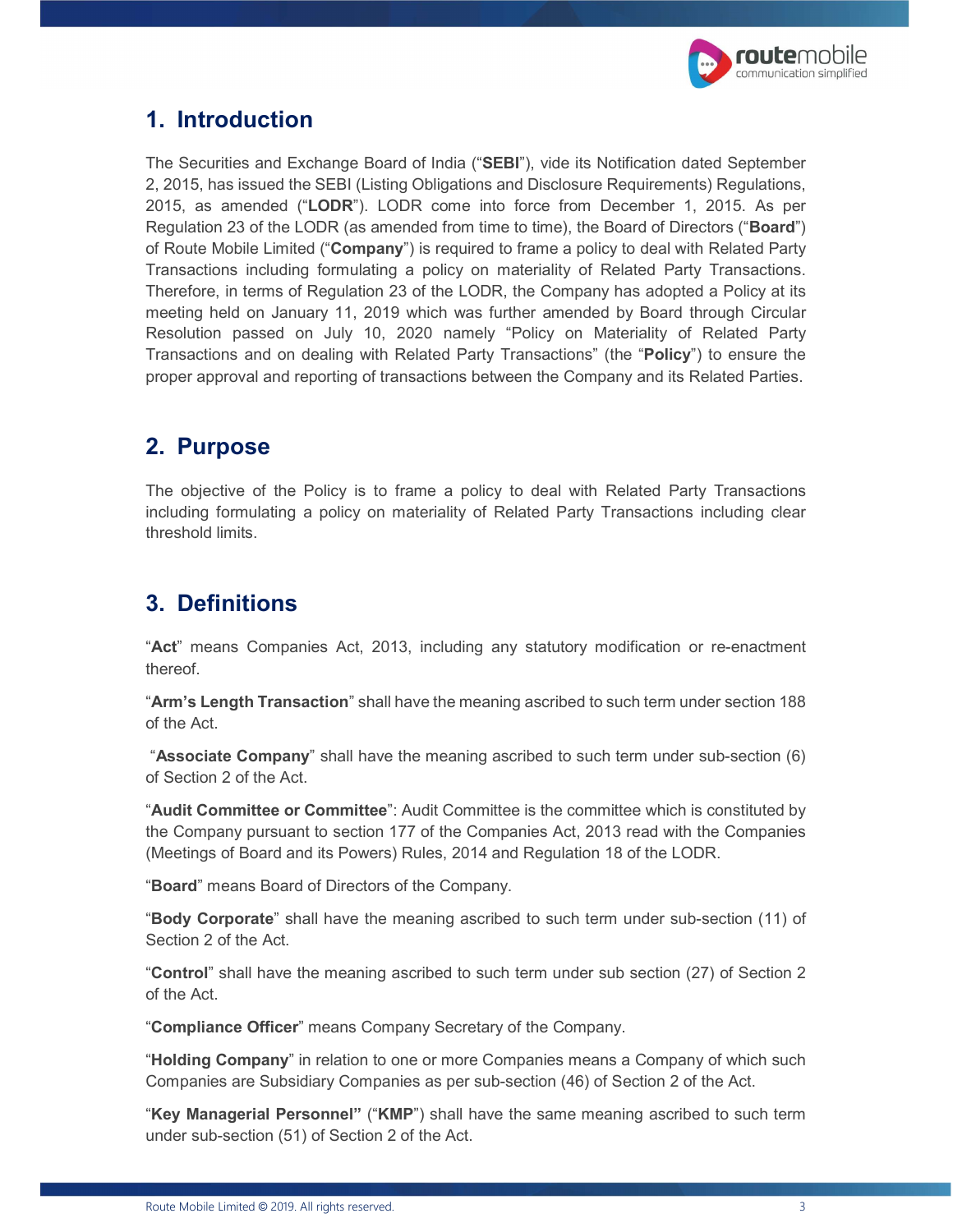

#### 1. Introduction

The Securities and Exchange Board of India ("SEBI"), vide its Notification dated September 2, 2015, has issued the SEBI (Listing Obligations and Disclosure Requirements) Regulations, 2015, as amended ("LODR"). LODR come into force from December 1, 2015. As per Regulation 23 of the LODR (as amended from time to time), the Board of Directors ("**Board**") of Route Mobile Limited ("Company") is required to frame a policy to deal with Related Party Transactions including formulating a policy on materiality of Related Party Transactions. Therefore, in terms of Regulation 23 of the LODR, the Company has adopted a Policy at its meeting held on January 11, 2019 which was further amended by Board through Circular Resolution passed on July 10, 2020 namely "Policy on Materiality of Related Party Transactions and on dealing with Related Party Transactions" (the "**Policy**") to ensure the proper approval and reporting of transactions between the Company and its Related Parties.

#### 2. Purpose

The objective of the Policy is to frame a policy to deal with Related Party Transactions including formulating a policy on materiality of Related Party Transactions including clear threshold limits.

### 3. Definitions

"Act" means Companies Act, 2013, including any statutory modification or re-enactment

thereof.<br>"**Arm's Length Transaction**" shall have the meaning ascribed to such term under section 188 of the Act.

 "Associate Company" shall have the meaning ascribed to such term under sub-section (6) of Section 2 of the Act.<br>"**Audit Committee or Committee**": Audit Committee is the committee which is constituted by

the Company pursuant to section 177 of the Companies Act, 2013 read with the Companies (Meetings of Board and its Powers) Rules, 2014 and Regulation 18 of the LODR.<br>"**Board**" means Board of Directors of the Company.<br>"**Body Corporate**" shall have the meaning ascribed to such term under sub-section (11) of

Section 2 of the Act.<br>"**Control**" shall have the meaning ascribed to such term under sub section (27) of Section 2 of the Act.<br>"**Compliance Officer**" means Company Secretary of the Company.<br>"**Holding Company**" in relation to one or more Companies means a Company of which such

Companies are Subsidiary Companies as per sub-section (46) of Section 2 of the Act.<br>"**Key Managerial Personnel''** ("**KMP**") shall have the same meaning ascribed to such term

under sub-section (51) of Section 2 of the Act.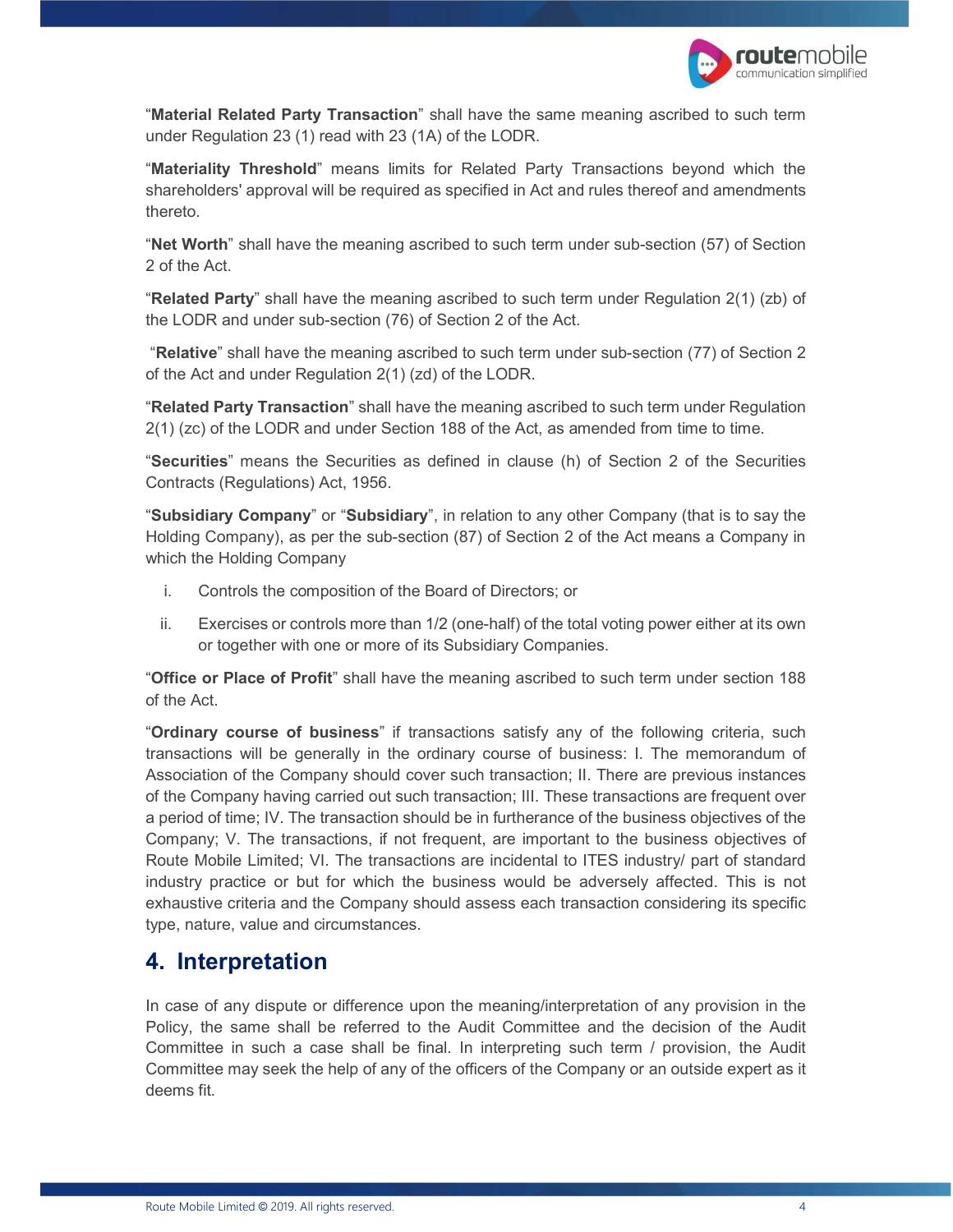

"Material Related Party Transaction" shall have the same meaning ascribed to such term

under Regulation 23 (1) read with 23 (1A) of the LODR.<br>"**Materiality Threshold**" means limits for Related Party Transactions beyond which the shareholders' approval will be required as specified in Act and rules thereof and amendments

thereto.<br>"**Net Worth**" shall have the meaning ascribed to such term under sub-section (57) of Section 2 of the Act.<br>"Related Party" shall have the meaning ascribed to such term under Regulation 2(1) (zb) of

the LODR and under sub-section (76) of Section 2 of the Act.

 "Relative" shall have the meaning ascribed to such term under sub-section (77) of Section 2 of the Act and under Regulation 2(1) (zd) of the LODR.<br>"**Related Party Transaction**" shall have the meaning ascribed to such term under Regulation

2(1) (zc) of the LODR and under Section 188 of the Act, as amended from time to time.<br>"Securities" means the Securities as defined in clause (h) of Section 2 of the Securities

Contracts (Regulations) Act, 1956.<br>"**Subsidiary Company**" or "**Subsidiary**", in relation to any other Company (that is to say the Holding Company), as per the sub-section (87) of Section 2 of the Act means a Company in which the Holding Company

- i. Controls the composition of the Board of Directors; or
- ii. Exercises or controls more than 1/2 (one-half) of the total voting power either at its own or together with one or more of its Subsidiary Companies.<br>"Office or Place of Profit" shall have the meaning ascribed to such term under section 188

of the Act.<br>"Ordinary course of business" if transactions satisfy any of the following criteria, such

transactions will be generally in the ordinary course of business: I. The memorandum of Association of the Company should cover such transaction; II. There are previous instances of the Company having carried out such transaction; III. These transactions are frequent over a period of time; IV. The transaction should be in furtherance of the business objectives of the Company; V. The transactions, if not frequent, are important to the business objectives of Route Mobile Limited; VI. The transactions are incidental to ITES industry/ part of standard industry practice or but for which the business would be adversely affected. This is not exhaustive criteria and the Company should assess each transaction considering its specific type, nature, value and circumstances.

#### 4. Interpretation

In case of any dispute or difference upon the meaning/interpretation of any provision in the Policy, the same shall be referred to the Audit Committee and the decision of the Audit Committee in such a case shall be final. In interpreting such term / provision, the Audit Committee may seek the help of any of the officers of the Company or an outside expert as it deems fit.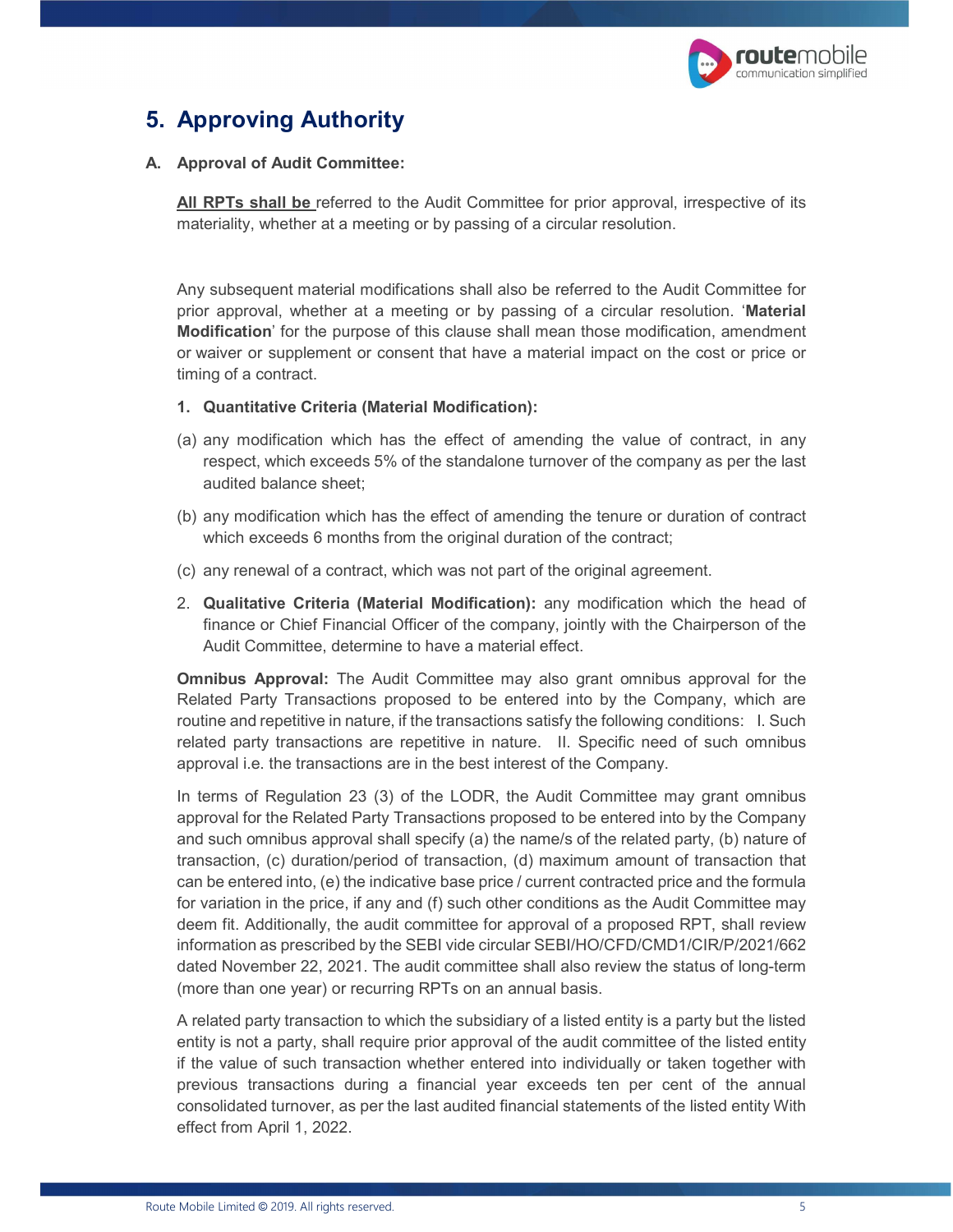

# 5. Approving Authority

#### A. Approval of Audit Committee:

All RPTs shall be referred to the Audit Committee for prior approval, irrespective of its materiality, whether at a meeting or by passing of a circular resolution.

Any subsequent material modifications shall also be referred to the Audit Committee for prior approval, whether at a meeting or by passing of a circular resolution. 'Material Modification' for the purpose of this clause shall mean those modification, amendment or waiver or supplement or consent that have a material impact on the cost or price or timing of a contract.

#### 1. Quantitative Criteria (Material Modification):

- (a) any modification which has the effect of amending the value of contract, in any respect, which exceeds 5% of the standalone turnover of the company as per the last audited balance sheet;
- (b) any modification which has the effect of amending the tenure or duration of contract which exceeds 6 months from the original duration of the contract;
- (c) any renewal of a contract, which was not part of the original agreement.
- 2. Qualitative Criteria (Material Modification): any modification which the head of finance or Chief Financial Officer of the company, jointly with the Chairperson of the Audit Committee, determine to have a material effect.

**Omnibus Approval:** The Audit Committee may also grant omnibus approval for the Related Party Transactions proposed to be entered into by the Company, which are routine and repetitive in nature, if the transactions satisfy the following conditions: I. Such related party transactions are repetitive in nature. II. Specific need of such omnibus approval i.e. the transactions are in the best interest of the Company.

In terms of Regulation 23 (3) of the LODR, the Audit Committee may grant omnibus approval for the Related Party Transactions proposed to be entered into by the Company and such omnibus approval shall specify (a) the name/s of the related party, (b) nature of transaction, (c) duration/period of transaction, (d) maximum amount of transaction that can be entered into, (e) the indicative base price / current contracted price and the formula for variation in the price, if any and (f) such other conditions as the Audit Committee may deem fit. Additionally, the audit committee for approval of a proposed RPT, shall review information as prescribed by the SEBI vide circular SEBI/HO/CFD/CMD1/CIR/P/2021/662 dated November 22, 2021. The audit committee shall also review the status of long-term (more than one year) or recurring RPTs on an annual basis.

A related party transaction to which the subsidiary of a listed entity is a party but the listed entity is not a party, shall require prior approval of the audit committee of the listed entity if the value of such transaction whether entered into individually or taken together with previous transactions during a financial year exceeds ten per cent of the annual consolidated turnover, as per the last audited financial statements of the listed entity With effect from April 1, 2022.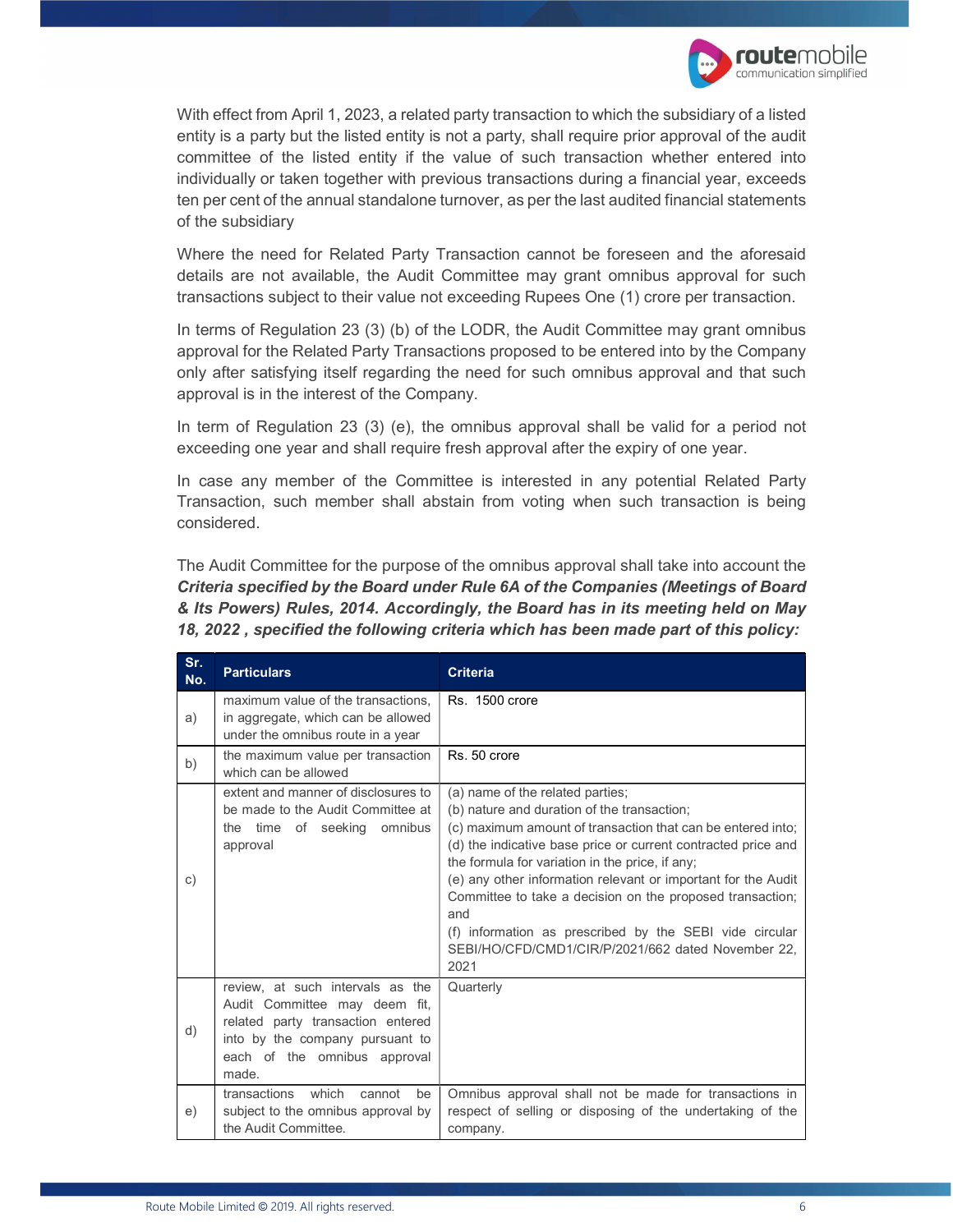

With effect from April 1, 2023, a related party transaction to which the subsidiary of a listed entity is a party but the listed entity is not a party, shall require prior approval of the audit committee of the listed entity if the value of such transaction whether entered into individually or taken together with previous transactions during a financial year, exceeds ten per cent of the annual standalone turnover, as per the last audited financial statements of the subsidiary

Where the need for Related Party Transaction cannot be foreseen and the aforesaid details are not available, the Audit Committee may grant omnibus approval for such transactions subject to their value not exceeding Rupees One (1) crore per transaction.

In terms of Regulation 23 (3) (b) of the LODR, the Audit Committee may grant omnibus approval for the Related Party Transactions proposed to be entered into by the Company only after satisfying itself regarding the need for such omnibus approval and that such approval is in the interest of the Company.

In term of Regulation 23 (3) (e), the omnibus approval shall be valid for a period not exceeding one year and shall require fresh approval after the expiry of one year.

In case any member of the Committee is interested in any potential Related Party Transaction, such member shall abstain from voting when such transaction is being considered.

The Audit Committee for the purpose of the omnibus approval shall take into account the Criteria specified by the Board under Rule 6A of the Companies (Meetings of Board & Its Powers) Rules, 2014. Accordingly, the Board has in its meeting held on May 18, 2022 , specified the following criteria which has been made part of this policy:

| Sr.<br>No. | <b>Particulars</b>                                                                                                                                                                 | <b>Criteria</b>                                                                                                                                                                                                                                                                                                                                                                                                                                                                                                                  |
|------------|------------------------------------------------------------------------------------------------------------------------------------------------------------------------------------|----------------------------------------------------------------------------------------------------------------------------------------------------------------------------------------------------------------------------------------------------------------------------------------------------------------------------------------------------------------------------------------------------------------------------------------------------------------------------------------------------------------------------------|
| a)         | maximum value of the transactions,<br>in aggregate, which can be allowed<br>under the omnibus route in a year                                                                      | <b>Rs. 1500 crore</b>                                                                                                                                                                                                                                                                                                                                                                                                                                                                                                            |
| b)         | the maximum value per transaction<br>which can be allowed                                                                                                                          | Rs. 50 crore                                                                                                                                                                                                                                                                                                                                                                                                                                                                                                                     |
| C)         | extent and manner of disclosures to<br>be made to the Audit Committee at<br>the time of seeking omnibus<br>approval                                                                | (a) name of the related parties;<br>(b) nature and duration of the transaction;<br>(c) maximum amount of transaction that can be entered into;<br>(d) the indicative base price or current contracted price and<br>the formula for variation in the price, if any;<br>(e) any other information relevant or important for the Audit<br>Committee to take a decision on the proposed transaction;<br>and<br>(f) information as prescribed by the SEBI vide circular<br>SEBI/HO/CFD/CMD1/CIR/P/2021/662 dated November 22.<br>2021 |
| d)         | review, at such intervals as the<br>Audit Committee may deem fit,<br>related party transaction entered<br>into by the company pursuant to<br>each of the omnibus approval<br>made. | Quarterly                                                                                                                                                                                                                                                                                                                                                                                                                                                                                                                        |
| e)         | transactions<br>which<br>cannot<br>be<br>subject to the omnibus approval by<br>the Audit Committee.                                                                                | Omnibus approval shall not be made for transactions in<br>respect of selling or disposing of the undertaking of the<br>company.                                                                                                                                                                                                                                                                                                                                                                                                  |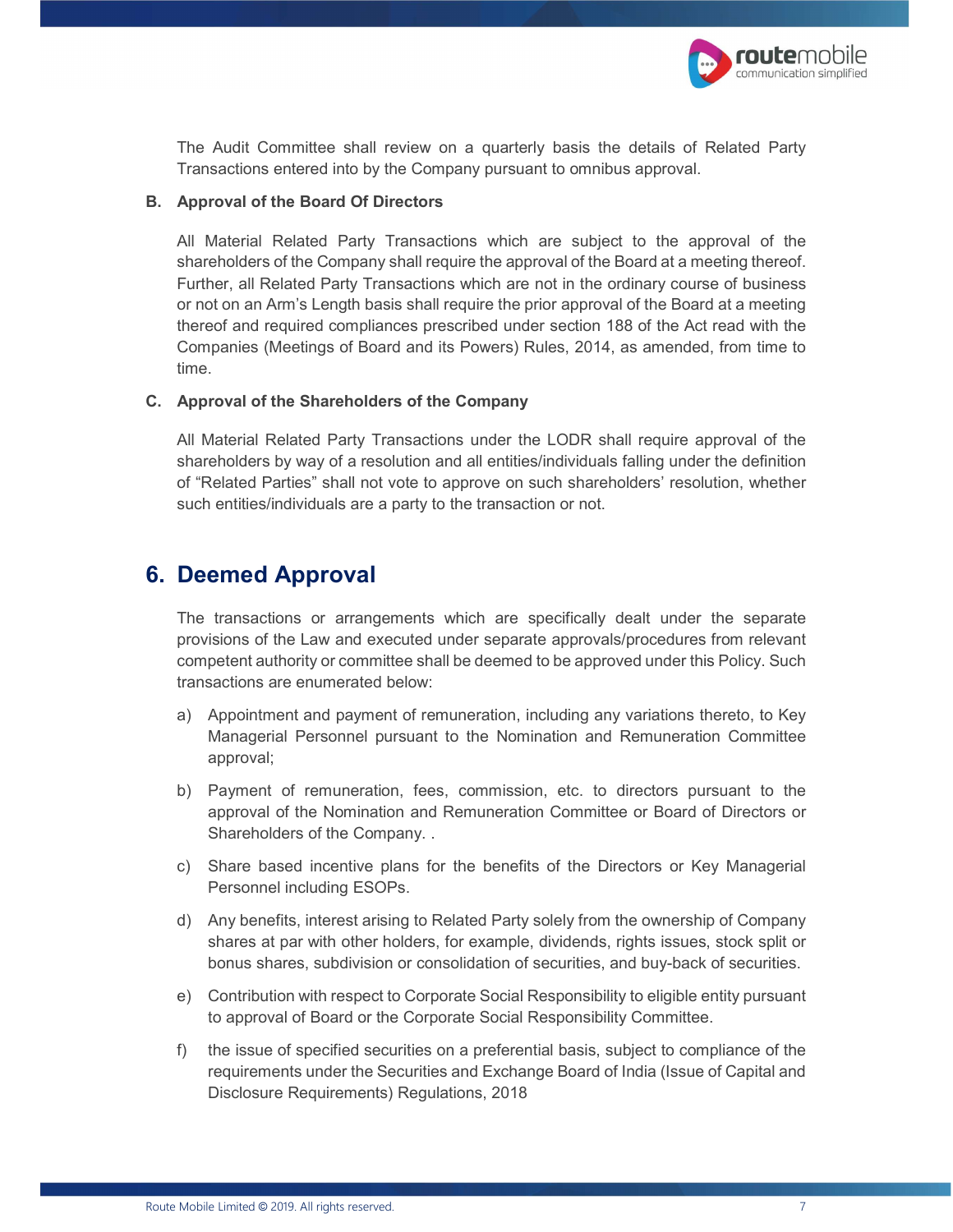

The Audit Committee shall review on a quarterly basis the details of Related Party Transactions entered into by the Company pursuant to omnibus approval.

#### B. Approval of the Board Of Directors

All Material Related Party Transactions which are subject to the approval of the shareholders of the Company shall require the approval of the Board at a meeting thereof. Further, all Related Party Transactions which are not in the ordinary course of business or not on an Arm's Length basis shall require the prior approval of the Board at a meeting thereof and required compliances prescribed under section 188 of the Act read with the Companies (Meetings of Board and its Powers) Rules, 2014, as amended, from time to time.

#### C. Approval of the Shareholders of the Company

All Material Related Party Transactions under the LODR shall require approval of the shareholders by way of a resolution and all entities/individuals falling under the definition of "Related Parties" shall not vote to approve on such shareholders' resolution, whether such entities/individuals are a party to the transaction or not.

#### 6. Deemed Approval

The transactions or arrangements which are specifically dealt under the separate provisions of the Law and executed under separate approvals/procedures from relevant competent authority or committee shall be deemed to be approved under this Policy. Such transactions are enumerated below:

- a) Appointment and payment of remuneration, including any variations thereto, to Key Managerial Personnel pursuant to the Nomination and Remuneration Committee approval;
- b) Payment of remuneration, fees, commission, etc. to directors pursuant to the approval of the Nomination and Remuneration Committee or Board of Directors or Shareholders of the Company. .
- c) Share based incentive plans for the benefits of the Directors or Key Managerial Personnel including ESOPs.
- d) Any benefits, interest arising to Related Party solely from the ownership of Company shares at par with other holders, for example, dividends, rights issues, stock split or bonus shares, subdivision or consolidation of securities, and buy-back of securities.
- e) Contribution with respect to Corporate Social Responsibility to eligible entity pursuant to approval of Board or the Corporate Social Responsibility Committee.
- f) the issue of specified securities on a preferential basis, subject to compliance of the requirements under the Securities and Exchange Board of India (Issue of Capital and Disclosure Requirements) Regulations, 2018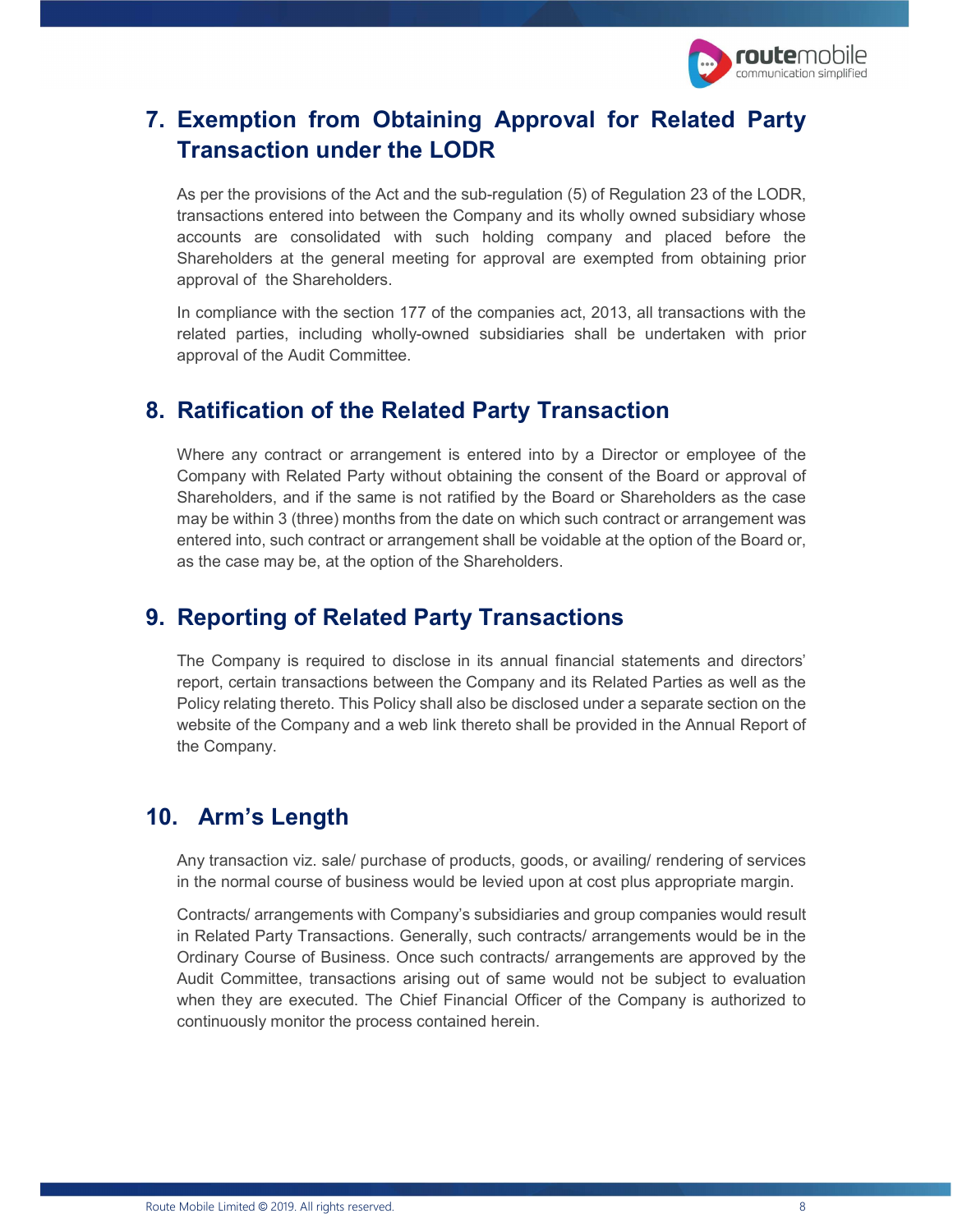

# 7. Exemption from Obtaining Approval for Related Party Transaction under the LODR

As per the provisions of the Act and the sub-regulation (5) of Regulation 23 of the LODR, transactions entered into between the Company and its wholly owned subsidiary whose accounts are consolidated with such holding company and placed before the Shareholders at the general meeting for approval are exempted from obtaining prior approval of the Shareholders.

In compliance with the section 177 of the companies act, 2013, all transactions with the related parties, including wholly-owned subsidiaries shall be undertaken with prior approval of the Audit Committee.

#### 8. Ratification of the Related Party Transaction

Where any contract or arrangement is entered into by a Director or employee of the Company with Related Party without obtaining the consent of the Board or approval of Shareholders, and if the same is not ratified by the Board or Shareholders as the case may be within 3 (three) months from the date on which such contract or arrangement was entered into, such contract or arrangement shall be voidable at the option of the Board or, as the case may be, at the option of the Shareholders.

#### 9. Reporting of Related Party Transactions

The Company is required to disclose in its annual financial statements and directors' report, certain transactions between the Company and its Related Parties as well as the Policy relating thereto. This Policy shall also be disclosed under a separate section on the website of the Company and a web link thereto shall be provided in the Annual Report of the Company.

#### 10. Arm's Length

Any transaction viz. sale/ purchase of products, goods, or availing/ rendering of services in the normal course of business would be levied upon at cost plus appropriate margin.

Contracts/ arrangements with Company's subsidiaries and group companies would result in Related Party Transactions. Generally, such contracts/ arrangements would be in the Ordinary Course of Business. Once such contracts/ arrangements are approved by the Audit Committee, transactions arising out of same would not be subject to evaluation when they are executed. The Chief Financial Officer of the Company is authorized to continuously monitor the process contained herein.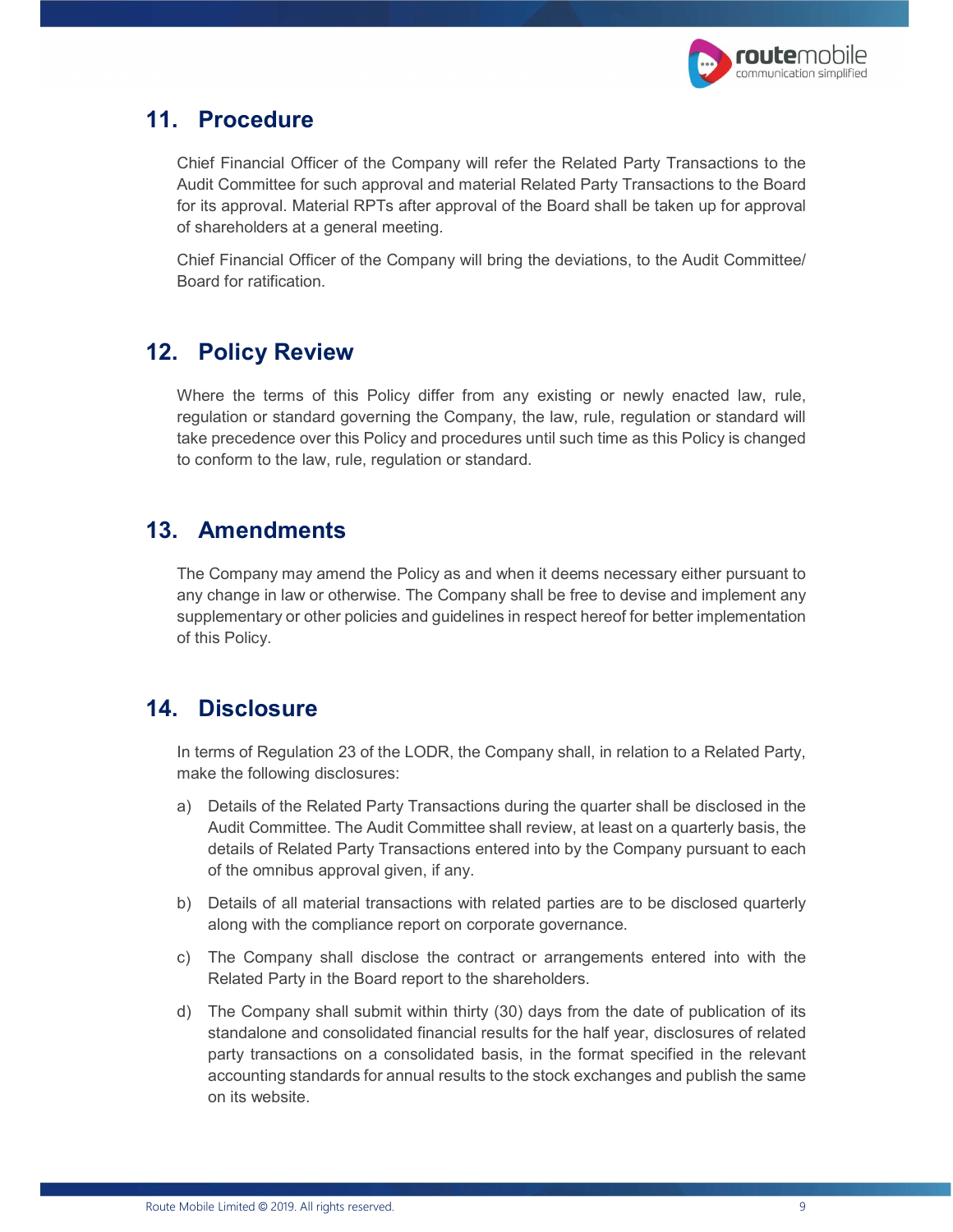

#### 11. Procedure

Chief Financial Officer of the Company will refer the Related Party Transactions to the Audit Committee for such approval and material Related Party Transactions to the Board for its approval. Material RPTs after approval of the Board shall be taken up for approval of shareholders at a general meeting.

Chief Financial Officer of the Company will bring the deviations, to the Audit Committee/ Board for ratification.

# 12. Policy Review

Where the terms of this Policy differ from any existing or newly enacted law, rule, regulation or standard governing the Company, the law, rule, regulation or standard will take precedence over this Policy and procedures until such time as this Policy is changed to conform to the law, rule, regulation or standard.

#### 13. Amendments

The Company may amend the Policy as and when it deems necessary either pursuant to any change in law or otherwise. The Company shall be free to devise and implement any supplementary or other policies and guidelines in respect hereof for better implementation of this Policy.

#### 14. Disclosure

In terms of Regulation 23 of the LODR, the Company shall, in relation to a Related Party, make the following disclosures:

- a) Details of the Related Party Transactions during the quarter shall be disclosed in the Audit Committee. The Audit Committee shall review, at least on a quarterly basis, the details of Related Party Transactions entered into by the Company pursuant to each of the omnibus approval given, if any.
- b) Details of all material transactions with related parties are to be disclosed quarterly along with the compliance report on corporate governance.
- c) The Company shall disclose the contract or arrangements entered into with the Related Party in the Board report to the shareholders.
- d) The Company shall submit within thirty (30) days from the date of publication of its standalone and consolidated financial results for the half year, disclosures of related party transactions on a consolidated basis, in the format specified in the relevant accounting standards for annual results to the stock exchanges and publish the same on its website.